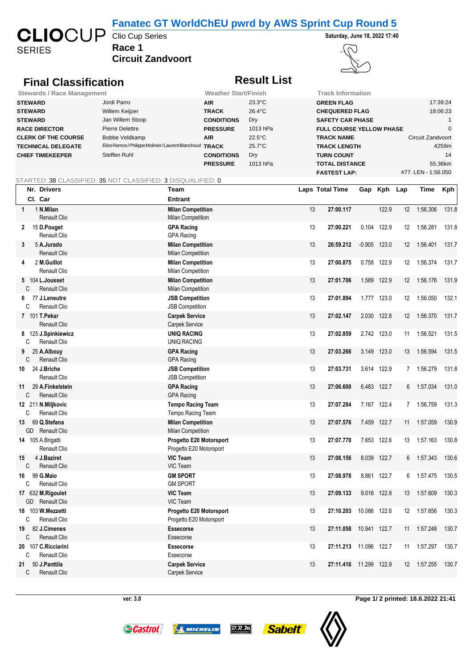### **Fanatec GT WorldChEU pwrd by AWS Sprint Cup Round 5**

**SERIES** 

## **Race 1 Circuit Zandvoort**

Clio Cup Series **Saturday, June 18, 2022 17:40**



## **Final Classification Result List**

| <b>Stewards / Race Management</b> | <b>Weather Start/Finish</b>                     |                   | <b>Track Information</b> |                                 |                     |  |
|-----------------------------------|-------------------------------------------------|-------------------|--------------------------|---------------------------------|---------------------|--|
| <b>STEWARD</b>                    | Jordi Parro                                     | <b>AIR</b>        | $23.3^{\circ}$ C         | <b>GREEN FLAG</b>               | 17:39:24            |  |
| <b>STEWARD</b>                    | Willem Keijzer                                  | <b>TRACK</b>      | $26.4^{\circ}$ C         | <b>CHEQUERED FLAG</b>           | 18:06:23            |  |
| <b>STEWARD</b>                    | Jan Willem Stoop                                | <b>CONDITIONS</b> | Dry                      | <b>SAFETY CAR PHASE</b>         |                     |  |
| <b>RACE DIRECTOR</b>              | Pierre Delettre                                 | <b>PRESSURE</b>   | 1013 hPa                 | <b>FULL COURSE YELLOW PHASE</b> |                     |  |
| <b>CLERK OF THE COURSE</b>        | Bobbe Veldkamp                                  | <b>AIR</b>        | $22.5^{\circ}$ C         | <b>TRACK NAME</b>               | Circuit Zandvoort   |  |
| <b>TECHNICAL DELEGATE</b>         | Elios Ramos/Philippe Molinier/Laurent Blanchoud | <b>TRACK</b>      | $25.7^{\circ}$ C         | <b>TRACK LENGTH</b>             | 4259m               |  |
| <b>CHIEF TIMEKEEPER</b>           | Steffen Ruhl                                    | <b>CONDITIONS</b> | Dry                      | <b>TURN COUNT</b>               | 14                  |  |
|                                   |                                                 | <b>PRESSURE</b>   | 1013 hPa                 | <b>TOTAL DISTANCE</b>           | 55.36km             |  |
|                                   |                                                 |                   |                          | <b>FASTEST LAP:</b>             | #77. LEN - 1:56.050 |  |

STARTED: 38 CLASSIFIED: 35 NOT CLASSIFIED: 3 DISQUALIFIED: 0

| Nr. Drivers                                        | Team                                                 | Laps Total Time |                | Gap Kph Lap |                 | Time     | <b>Kph</b> |
|----------------------------------------------------|------------------------------------------------------|-----------------|----------------|-------------|-----------------|----------|------------|
| Cl. Car                                            | <b>Entrant</b>                                       |                 |                |             |                 |          |            |
| 1 N.Milan<br>$\mathbf{1}$<br><b>Renault Clio</b>   | <b>Milan Competition</b><br><b>Milan Competition</b> | 13<br>27:00.117 |                | 122.9       | 12 <sup>2</sup> | 1:56.306 | 131.8      |
| 15 D.Pouget<br>2<br>Renault Clio                   | <b>GPA Racing</b><br><b>GPA Racing</b>               | 13<br>27:00.221 | 0.104 122.9    |             | 12              | 1:56.281 | 131.8      |
| 5 A.Jurado<br>3<br><b>Renault Clio</b>             | <b>Milan Competition</b><br><b>Milan Competition</b> | 13<br>26:59.212 | $-0.905$ 123.0 |             | 12              | 1:56.401 | 131.7      |
| 2 M.Guillot<br>4<br>Renault Clio                   | <b>Milan Competition</b><br><b>Milan Competition</b> | 13<br>27:00.875 | 0.758 122.9    |             | 12              | 1:56.374 | 131.7      |
| 5 104 L.Jousset<br>C<br><b>Renault Clio</b>        | <b>Milan Competition</b><br><b>Milan Competition</b> | 27:01.706<br>13 | 1.589          | 122.9       | 12 <sup>°</sup> | 1:56.176 | 131.9      |
| 77 J.Leneutre<br>6.<br>C<br><b>Renault Clio</b>    | <b>JSB Competition</b><br><b>JSB Competition</b>     | 27:01.894<br>13 | 1.777 123.0    |             | 12              | 1:56.050 | 132.1      |
| 7 101 T. Pekar<br>Renault Clio                     | <b>Carpek Service</b><br>Carpek Service              | 13<br>27:02.147 | 2.030 122.8    |             | 12 <sup>°</sup> | 1:56.370 | 131.7      |
| 8 125 J.Spinkiewicz<br>Renault Clio<br>C           | <b>UNIQ RACING</b><br><b>UNIQ RACING</b>             | 13<br>27:02.859 | 2.742 123.0    |             | 11              | 1:56.521 | 131.5      |
| 25 A.Albouy<br>9<br>C<br>Renault Clio              | <b>GPA Racing</b><br><b>GPA Racing</b>               | 13<br>27:03.266 | 3.149 123.0    |             | 13              | 1:56.594 | 131.5      |
| 24 J.Briche<br>10<br><b>Renault Clio</b>           | <b>JSB Competition</b><br><b>JSB Competition</b>     | 13<br>27:03.731 | 3.614 122.9    |             | $\overline{7}$  | 1:56.279 | 131.8      |
| 29 A.Finkelstein<br>11<br>C<br><b>Renault Clio</b> | <b>GPA Racing</b><br><b>GPA Racing</b>               | 13<br>27:06.600 | 6.483 122.7    |             | 6               | 1:57.034 | 131.0      |
| 12 211 N.Miljkovic<br>C<br><b>Renault Clio</b>     | <b>Tempo Racing Team</b><br>Tempo Racing Team        | 27:07.284<br>13 | 7.167 122.4    |             | 7               | 1:56.759 | 131.3      |
| 69 Q.Stefana<br>13<br><b>Renault Clio</b><br>GD    | <b>Milan Competition</b><br><b>Milan Competition</b> | 13<br>27:07.576 | 7.459 122.7    |             | 11              | 1:57.059 | 130.9      |
| 14 105 A.Brigatti<br>Renault Clio                  | Progetto E20 Motorsport<br>Progetto E20 Motorsport   | 27:07.770<br>13 | 7.653 122.6    |             | 13              | 1:57.163 | 130.8      |
| 15<br>4 J.Baziret<br>C<br>Renault Clio             | <b>VIC Team</b><br>VIC Team                          | 27:08.156<br>13 | 8.039 122.7    |             | 6               | 1:57.343 | 130.6      |
| 99 G.Maio<br>16<br>C<br>Renault Clio               | <b>GM SPORT</b><br><b>GM SPORT</b>                   | 13<br>27:08.978 | 8.861 122.7    |             | 6               | 1:57.475 | 130.5      |
| 17 632 M.Rigoulet<br>GD<br>Renault Clio            | <b>VIC Team</b><br>VIC Team                          | 27:09.133<br>13 | 9.016 122.8    |             | 13              | 1:57.609 | 130.3      |
| 18 103 W.Mezzetti<br>C<br><b>Renault Clio</b>      | Progetto E20 Motorsport<br>Progetto E20 Motorsport   | 13<br>27:10.203 | 10.086 122.6   |             | 12              | 1:57.656 | 130.3      |
| 82 J.Cimenes<br>19<br>C<br>Renault Clio            | <b>Essecorse</b><br>Essecorse                        | 13<br>27:11.058 | 10.941 122.7   |             | 11              | 1:57.248 | 130.7      |
| 20 107 C.Ricciarini<br><b>Renault Clio</b><br>C    | Essecorse<br>Essecorse                               | 27:11.213<br>13 | 11.096 122.7   |             | 11              | 1:57.297 | 130.7      |
| 50 J.Panttila<br>21<br>C<br><b>Renault Clio</b>    | <b>Carpek Service</b><br><b>Carpek Service</b>       | 13<br>27:11.416 | 11.299         | 122.9       | 12 <sup>°</sup> | 1:57.255 | 130.7      |